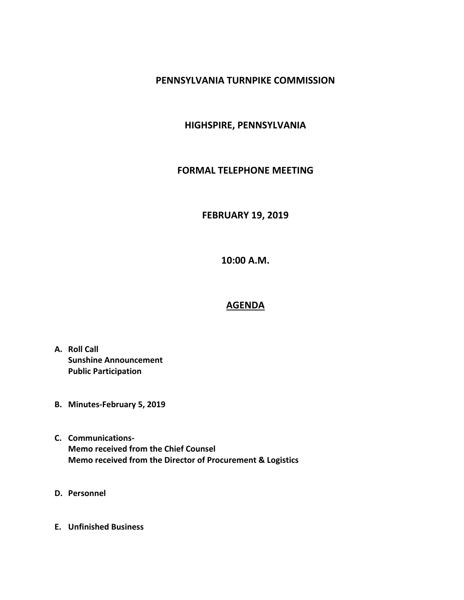### **PENNSYLVANIA TURNPIKE COMMISSION**

### **HIGHSPIRE, PENNSYLVANIA**

#### **FORMAL TELEPHONE MEETING**

# **FEBRUARY 19, 2019**

**10:00 A.M.**

# **AGENDA**

- **A. Roll Call Sunshine Announcement Public Participation**
- **B. Minutes-February 5, 2019**
- **C. Communications-Memo received from the Chief Counsel Memo received from the Director of Procurement & Logistics**
- **D. Personnel**
- **E. Unfinished Business**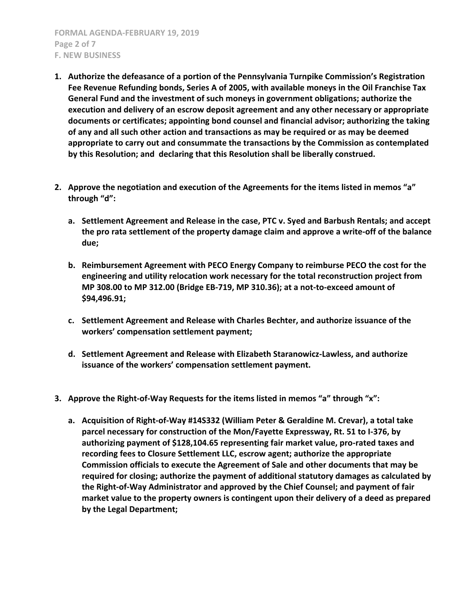**FORMAL AGENDA-FEBRUARY 19, 2019 Page 2 of 7 F. NEW BUSINESS**

- **1. Authorize the defeasance of a portion of the Pennsylvania Turnpike Commission's Registration Fee Revenue Refunding bonds, Series A of 2005, with available moneys in the Oil Franchise Tax General Fund and the investment of such moneys in government obligations; authorize the execution and delivery of an escrow deposit agreement and any other necessary or appropriate documents or certificates; appointing bond counsel and financial advisor; authorizing the taking of any and all such other action and transactions as may be required or as may be deemed appropriate to carry out and consummate the transactions by the Commission as contemplated by this Resolution; and declaring that this Resolution shall be liberally construed.**
- **2. Approve the negotiation and execution of the Agreements for the items listed in memos "a" through "d":**
	- **a. Settlement Agreement and Release in the case, PTC v. Syed and Barbush Rentals; and accept the pro rata settlement of the property damage claim and approve a write-off of the balance due;**
	- **b. Reimbursement Agreement with PECO Energy Company to reimburse PECO the cost for the engineering and utility relocation work necessary for the total reconstruction project from MP 308.00 to MP 312.00 (Bridge EB-719, MP 310.36); at a not-to-exceed amount of \$94,496.91;**
	- **c. Settlement Agreement and Release with Charles Bechter, and authorize issuance of the workers' compensation settlement payment;**
	- **d. Settlement Agreement and Release with Elizabeth Staranowicz-Lawless, and authorize issuance of the workers' compensation settlement payment.**
- **3. Approve the Right-of-Way Requests for the items listed in memos "a" through "x":**
	- **a. Acquisition of Right-of-Way #14S332 (William Peter & Geraldine M. Crevar), a total take parcel necessary for construction of the Mon/Fayette Expressway, Rt. 51 to I-376, by authorizing payment of \$128,104.65 representing fair market value, pro-rated taxes and recording fees to Closure Settlement LLC, escrow agent; authorize the appropriate Commission officials to execute the Agreement of Sale and other documents that may be required for closing; authorize the payment of additional statutory damages as calculated by the Right-of-Way Administrator and approved by the Chief Counsel; and payment of fair market value to the property owners is contingent upon their delivery of a deed as prepared by the Legal Department;**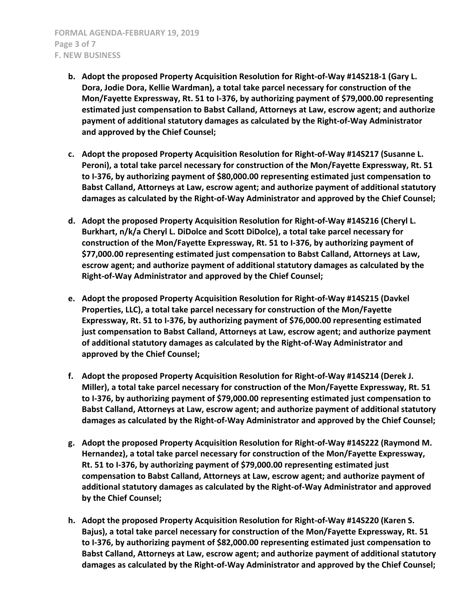- **b. Adopt the proposed Property Acquisition Resolution for Right-of-Way #14S218-1 (Gary L. Dora, Jodie Dora, Kellie Wardman), a total take parcel necessary for construction of the Mon/Fayette Expressway, Rt. 51 to I-376, by authorizing payment of \$79,000.00 representing estimated just compensation to Babst Calland, Attorneys at Law, escrow agent; and authorize payment of additional statutory damages as calculated by the Right-of-Way Administrator and approved by the Chief Counsel;**
- **c. Adopt the proposed Property Acquisition Resolution for Right-of-Way #14S217 (Susanne L. Peroni), a total take parcel necessary for construction of the Mon/Fayette Expressway, Rt. 51 to I-376, by authorizing payment of \$80,000.00 representing estimated just compensation to Babst Calland, Attorneys at Law, escrow agent; and authorize payment of additional statutory damages as calculated by the Right-of-Way Administrator and approved by the Chief Counsel;**
- **d. Adopt the proposed Property Acquisition Resolution for Right-of-Way #14S216 (Cheryl L. Burkhart, n/k/a Cheryl L. DiDolce and Scott DiDolce), a total take parcel necessary for construction of the Mon/Fayette Expressway, Rt. 51 to I-376, by authorizing payment of \$77,000.00 representing estimated just compensation to Babst Calland, Attorneys at Law, escrow agent; and authorize payment of additional statutory damages as calculated by the Right-of-Way Administrator and approved by the Chief Counsel;**
- **e. Adopt the proposed Property Acquisition Resolution for Right-of-Way #14S215 (Davkel Properties, LLC), a total take parcel necessary for construction of the Mon/Fayette Expressway, Rt. 51 to I-376, by authorizing payment of \$76,000.00 representing estimated just compensation to Babst Calland, Attorneys at Law, escrow agent; and authorize payment of additional statutory damages as calculated by the Right-of-Way Administrator and approved by the Chief Counsel;**
- **f. Adopt the proposed Property Acquisition Resolution for Right-of-Way #14S214 (Derek J. Miller), a total take parcel necessary for construction of the Mon/Fayette Expressway, Rt. 51 to I-376, by authorizing payment of \$79,000.00 representing estimated just compensation to Babst Calland, Attorneys at Law, escrow agent; and authorize payment of additional statutory damages as calculated by the Right-of-Way Administrator and approved by the Chief Counsel;**
- **g. Adopt the proposed Property Acquisition Resolution for Right-of-Way #14S222 (Raymond M. Hernandez), a total take parcel necessary for construction of the Mon/Fayette Expressway, Rt. 51 to I-376, by authorizing payment of \$79,000.00 representing estimated just compensation to Babst Calland, Attorneys at Law, escrow agent; and authorize payment of additional statutory damages as calculated by the Right-of-Way Administrator and approved by the Chief Counsel;**
- **h. Adopt the proposed Property Acquisition Resolution for Right-of-Way #14S220 (Karen S. Bajus), a total take parcel necessary for construction of the Mon/Fayette Expressway, Rt. 51 to I-376, by authorizing payment of \$82,000.00 representing estimated just compensation to Babst Calland, Attorneys at Law, escrow agent; and authorize payment of additional statutory damages as calculated by the Right-of-Way Administrator and approved by the Chief Counsel;**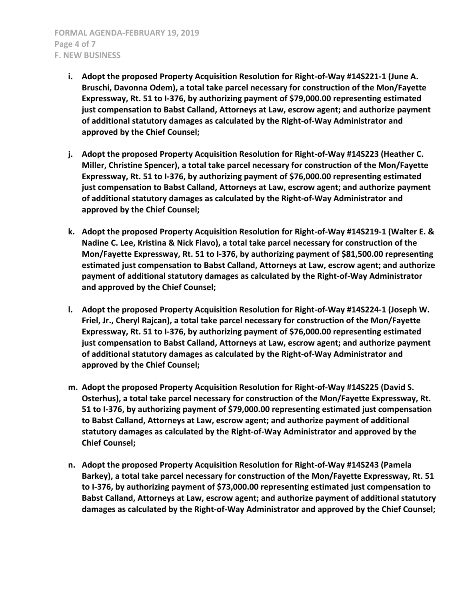**FORMAL AGENDA-FEBRUARY 19, 2019 Page 4 of 7 F. NEW BUSINESS**

- **i. Adopt the proposed Property Acquisition Resolution for Right-of-Way #14S221-1 (June A. Bruschi, Davonna Odem), a total take parcel necessary for construction of the Mon/Fayette Expressway, Rt. 51 to I-376, by authorizing payment of \$79,000.00 representing estimated just compensation to Babst Calland, Attorneys at Law, escrow agent; and authorize payment of additional statutory damages as calculated by the Right-of-Way Administrator and approved by the Chief Counsel;**
- **j. Adopt the proposed Property Acquisition Resolution for Right-of-Way #14S223 (Heather C. Miller, Christine Spencer), a total take parcel necessary for construction of the Mon/Fayette Expressway, Rt. 51 to I-376, by authorizing payment of \$76,000.00 representing estimated just compensation to Babst Calland, Attorneys at Law, escrow agent; and authorize payment of additional statutory damages as calculated by the Right-of-Way Administrator and approved by the Chief Counsel;**
- **k. Adopt the proposed Property Acquisition Resolution for Right-of-Way #14S219-1 (Walter E. & Nadine C. Lee, Kristina & Nick Flavo), a total take parcel necessary for construction of the Mon/Fayette Expressway, Rt. 51 to I-376, by authorizing payment of \$81,500.00 representing estimated just compensation to Babst Calland, Attorneys at Law, escrow agent; and authorize payment of additional statutory damages as calculated by the Right-of-Way Administrator and approved by the Chief Counsel;**
- **l. Adopt the proposed Property Acquisition Resolution for Right-of-Way #14S224-1 (Joseph W. Friel, Jr., Cheryl Rajcan), a total take parcel necessary for construction of the Mon/Fayette Expressway, Rt. 51 to I-376, by authorizing payment of \$76,000.00 representing estimated just compensation to Babst Calland, Attorneys at Law, escrow agent; and authorize payment of additional statutory damages as calculated by the Right-of-Way Administrator and approved by the Chief Counsel;**
- **m. Adopt the proposed Property Acquisition Resolution for Right-of-Way #14S225 (David S. Osterhus), a total take parcel necessary for construction of the Mon/Fayette Expressway, Rt. 51 to I-376, by authorizing payment of \$79,000.00 representing estimated just compensation to Babst Calland, Attorneys at Law, escrow agent; and authorize payment of additional statutory damages as calculated by the Right-of-Way Administrator and approved by the Chief Counsel;**
- **n. Adopt the proposed Property Acquisition Resolution for Right-of-Way #14S243 (Pamela Barkey), a total take parcel necessary for construction of the Mon/Fayette Expressway, Rt. 51 to I-376, by authorizing payment of \$73,000.00 representing estimated just compensation to Babst Calland, Attorneys at Law, escrow agent; and authorize payment of additional statutory damages as calculated by the Right-of-Way Administrator and approved by the Chief Counsel;**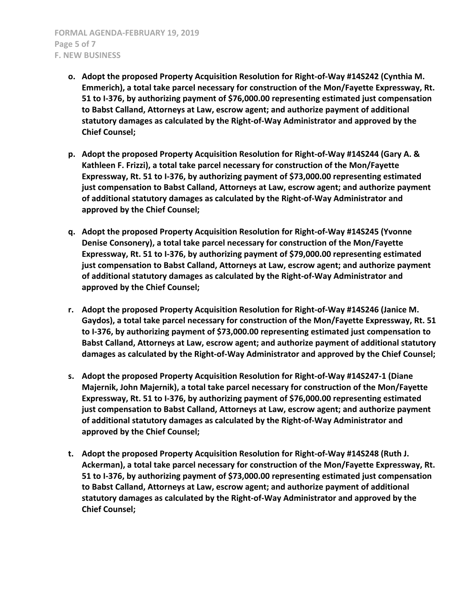**FORMAL AGENDA-FEBRUARY 19, 2019 Page 5 of 7 F. NEW BUSINESS**

- **o. Adopt the proposed Property Acquisition Resolution for Right-of-Way #14S242 (Cynthia M. Emmerich), a total take parcel necessary for construction of the Mon/Fayette Expressway, Rt. 51 to I-376, by authorizing payment of \$76,000.00 representing estimated just compensation to Babst Calland, Attorneys at Law, escrow agent; and authorize payment of additional statutory damages as calculated by the Right-of-Way Administrator and approved by the Chief Counsel;**
- **p. Adopt the proposed Property Acquisition Resolution for Right-of-Way #14S244 (Gary A. & Kathleen F. Frizzi), a total take parcel necessary for construction of the Mon/Fayette Expressway, Rt. 51 to I-376, by authorizing payment of \$73,000.00 representing estimated just compensation to Babst Calland, Attorneys at Law, escrow agent; and authorize payment of additional statutory damages as calculated by the Right-of-Way Administrator and approved by the Chief Counsel;**
- **q. Adopt the proposed Property Acquisition Resolution for Right-of-Way #14S245 (Yvonne Denise Consonery), a total take parcel necessary for construction of the Mon/Fayette Expressway, Rt. 51 to I-376, by authorizing payment of \$79,000.00 representing estimated just compensation to Babst Calland, Attorneys at Law, escrow agent; and authorize payment of additional statutory damages as calculated by the Right-of-Way Administrator and approved by the Chief Counsel;**
- **r. Adopt the proposed Property Acquisition Resolution for Right-of-Way #14S246 (Janice M. Gaydos), a total take parcel necessary for construction of the Mon/Fayette Expressway, Rt. 51 to I-376, by authorizing payment of \$73,000.00 representing estimated just compensation to Babst Calland, Attorneys at Law, escrow agent; and authorize payment of additional statutory damages as calculated by the Right-of-Way Administrator and approved by the Chief Counsel;**
- **s. Adopt the proposed Property Acquisition Resolution for Right-of-Way #14S247-1 (Diane Majernik, John Majernik), a total take parcel necessary for construction of the Mon/Fayette Expressway, Rt. 51 to I-376, by authorizing payment of \$76,000.00 representing estimated just compensation to Babst Calland, Attorneys at Law, escrow agent; and authorize payment of additional statutory damages as calculated by the Right-of-Way Administrator and approved by the Chief Counsel;**
- **t. Adopt the proposed Property Acquisition Resolution for Right-of-Way #14S248 (Ruth J. Ackerman), a total take parcel necessary for construction of the Mon/Fayette Expressway, Rt. 51 to I-376, by authorizing payment of \$73,000.00 representing estimated just compensation to Babst Calland, Attorneys at Law, escrow agent; and authorize payment of additional statutory damages as calculated by the Right-of-Way Administrator and approved by the Chief Counsel;**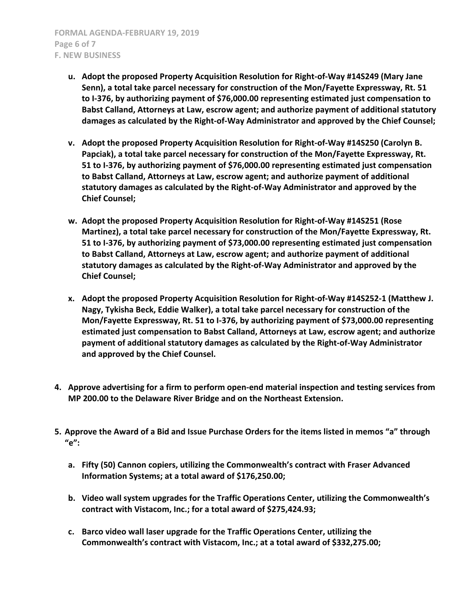- **u. Adopt the proposed Property Acquisition Resolution for Right-of-Way #14S249 (Mary Jane Senn), a total take parcel necessary for construction of the Mon/Fayette Expressway, Rt. 51 to I-376, by authorizing payment of \$76,000.00 representing estimated just compensation to Babst Calland, Attorneys at Law, escrow agent; and authorize payment of additional statutory damages as calculated by the Right-of-Way Administrator and approved by the Chief Counsel;**
- **v. Adopt the proposed Property Acquisition Resolution for Right-of-Way #14S250 (Carolyn B. Papciak), a total take parcel necessary for construction of the Mon/Fayette Expressway, Rt. 51 to I-376, by authorizing payment of \$76,000.00 representing estimated just compensation to Babst Calland, Attorneys at Law, escrow agent; and authorize payment of additional statutory damages as calculated by the Right-of-Way Administrator and approved by the Chief Counsel;**
- **w. Adopt the proposed Property Acquisition Resolution for Right-of-Way #14S251 (Rose Martinez), a total take parcel necessary for construction of the Mon/Fayette Expressway, Rt. 51 to I-376, by authorizing payment of \$73,000.00 representing estimated just compensation to Babst Calland, Attorneys at Law, escrow agent; and authorize payment of additional statutory damages as calculated by the Right-of-Way Administrator and approved by the Chief Counsel;**
- **x. Adopt the proposed Property Acquisition Resolution for Right-of-Way #14S252-1 (Matthew J. Nagy, Tykisha Beck, Eddie Walker), a total take parcel necessary for construction of the Mon/Fayette Expressway, Rt. 51 to I-376, by authorizing payment of \$73,000.00 representing estimated just compensation to Babst Calland, Attorneys at Law, escrow agent; and authorize payment of additional statutory damages as calculated by the Right-of-Way Administrator and approved by the Chief Counsel.**
- **4. Approve advertising for a firm to perform open-end material inspection and testing services from MP 200.00 to the Delaware River Bridge and on the Northeast Extension.**
- **5. Approve the Award of a Bid and Issue Purchase Orders for the items listed in memos "a" through "e":**
	- **a. Fifty (50) Cannon copiers, utilizing the Commonwealth's contract with Fraser Advanced Information Systems; at a total award of \$176,250.00;**
	- **b. Video wall system upgrades for the Traffic Operations Center, utilizing the Commonwealth's contract with Vistacom, Inc.; for a total award of \$275,424.93;**
	- **c. Barco video wall laser upgrade for the Traffic Operations Center, utilizing the Commonwealth's contract with Vistacom, Inc.; at a total award of \$332,275.00;**